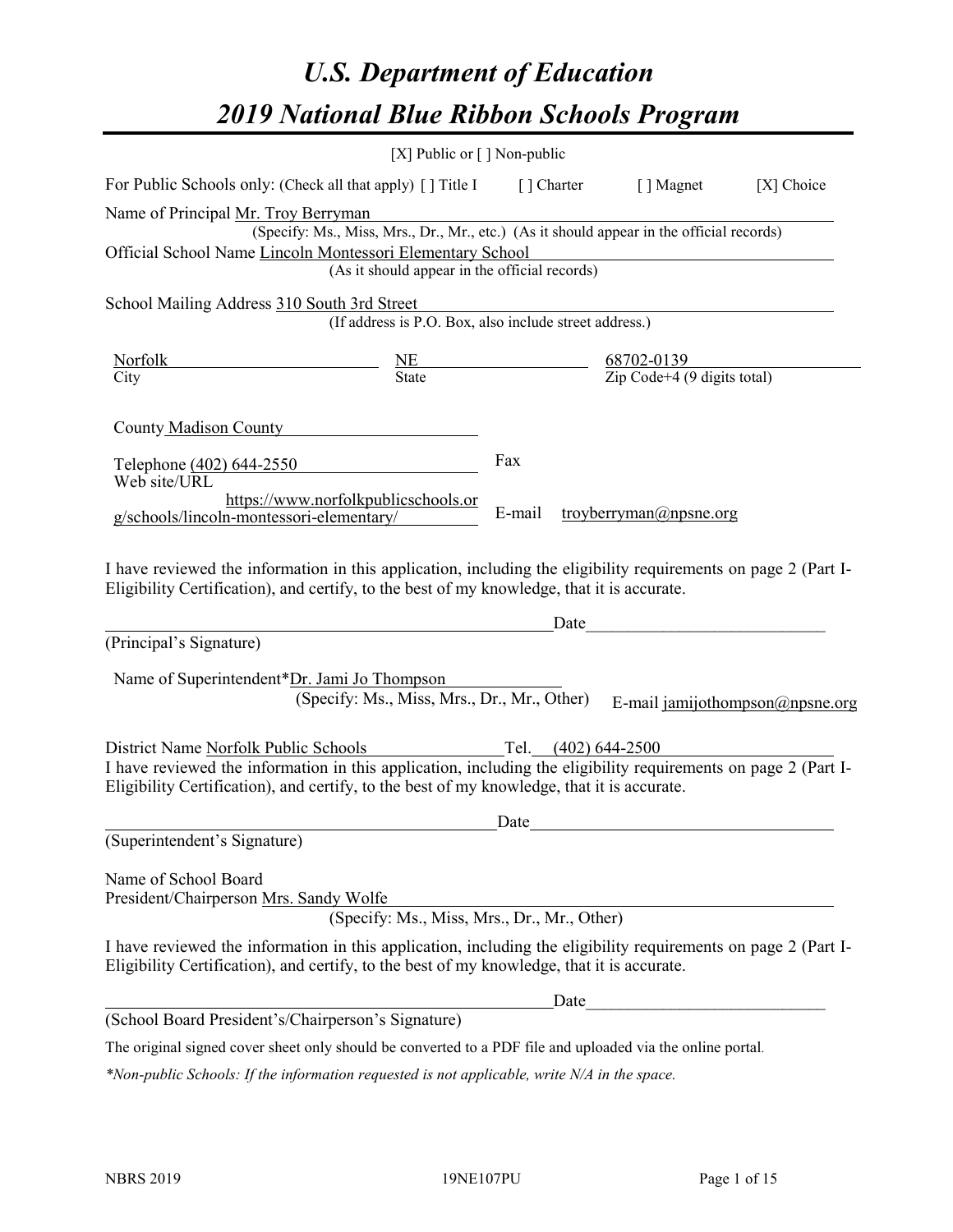# *U.S. Department of Education 2019 National Blue Ribbon Schools Program*

|                                                                                                                                                                                                                                                      | [X] Public or $\lceil$ ] Non-public                                                      |                                                                     |                                                   |                                 |
|------------------------------------------------------------------------------------------------------------------------------------------------------------------------------------------------------------------------------------------------------|------------------------------------------------------------------------------------------|---------------------------------------------------------------------|---------------------------------------------------|---------------------------------|
| For Public Schools only: (Check all that apply) [ ] Title I [ ] Charter                                                                                                                                                                              |                                                                                          |                                                                     | [ ] Magnet                                        | [X] Choice                      |
| Name of Principal Mr. Troy Berryman                                                                                                                                                                                                                  | (Specify: Ms., Miss, Mrs., Dr., Mr., etc.) (As it should appear in the official records) |                                                                     |                                                   |                                 |
| Official School Name Lincoln Montessori Elementary School                                                                                                                                                                                            | (As it should appear in the official records)                                            |                                                                     |                                                   |                                 |
| School Mailing Address 310 South 3rd Street                                                                                                                                                                                                          | (If address is P.O. Box, also include street address.)                                   |                                                                     |                                                   |                                 |
| Norfolk<br>City                                                                                                                                                                                                                                      | $\frac{NE}{State}$                                                                       | $\frac{68702 - 0139}{\text{Zip Code} + 4 (9 \text{ digits total})}$ |                                                   |                                 |
|                                                                                                                                                                                                                                                      |                                                                                          |                                                                     |                                                   |                                 |
| County Madison County                                                                                                                                                                                                                                |                                                                                          |                                                                     |                                                   |                                 |
| Telephone (402) 644-2550<br>Web site/URL                                                                                                                                                                                                             |                                                                                          | Fax                                                                 |                                                   |                                 |
| g/schools/lincoln-montessori-elementary/                                                                                                                                                                                                             | https://www.norfolkpublicschools.or                                                      | E-mail                                                              | troyberryman@npsne.org                            |                                 |
| I have reviewed the information in this application, including the eligibility requirements on page 2 (Part I-<br>Eligibility Certification), and certify, to the best of my knowledge, that it is accurate.                                         |                                                                                          | Date                                                                | <u> 1989 - Johann Barbara, martxa alemaniar a</u> |                                 |
| (Principal's Signature)                                                                                                                                                                                                                              |                                                                                          |                                                                     |                                                   |                                 |
| Name of Superintendent*Dr. Jami Jo Thompson                                                                                                                                                                                                          | (Specify: Ms., Miss, Mrs., Dr., Mr., Other)                                              |                                                                     |                                                   | E-mail jamijothompson@npsne.org |
| District Name Norfolk Public Schools<br>I have reviewed the information in this application, including the eligibility requirements on page 2 (Part I-<br>Eligibility Certification), and certify, to the best of my knowledge, that it is accurate. |                                                                                          | Tel. $(402)$ 644-2500                                               |                                                   |                                 |
|                                                                                                                                                                                                                                                      |                                                                                          | Date                                                                |                                                   |                                 |
| (Superintendent's Signature)                                                                                                                                                                                                                         |                                                                                          |                                                                     |                                                   |                                 |
| Name of School Board<br>President/Chairperson Mrs. Sandy Wolfe                                                                                                                                                                                       | (Specify: Ms., Miss, Mrs., Dr., Mr., Other)                                              |                                                                     |                                                   |                                 |
| I have reviewed the information in this application, including the eligibility requirements on page 2 (Part I-<br>Eligibility Certification), and certify, to the best of my knowledge, that it is accurate.                                         |                                                                                          |                                                                     |                                                   |                                 |
|                                                                                                                                                                                                                                                      |                                                                                          | Date                                                                |                                                   |                                 |
| (School Board President's/Chairperson's Signature)                                                                                                                                                                                                   |                                                                                          |                                                                     |                                                   |                                 |
| The original signed cover sheet only should be converted to a PDF file and uploaded via the online portal.                                                                                                                                           |                                                                                          |                                                                     |                                                   |                                 |

*\*Non-public Schools: If the information requested is not applicable, write N/A in the space.*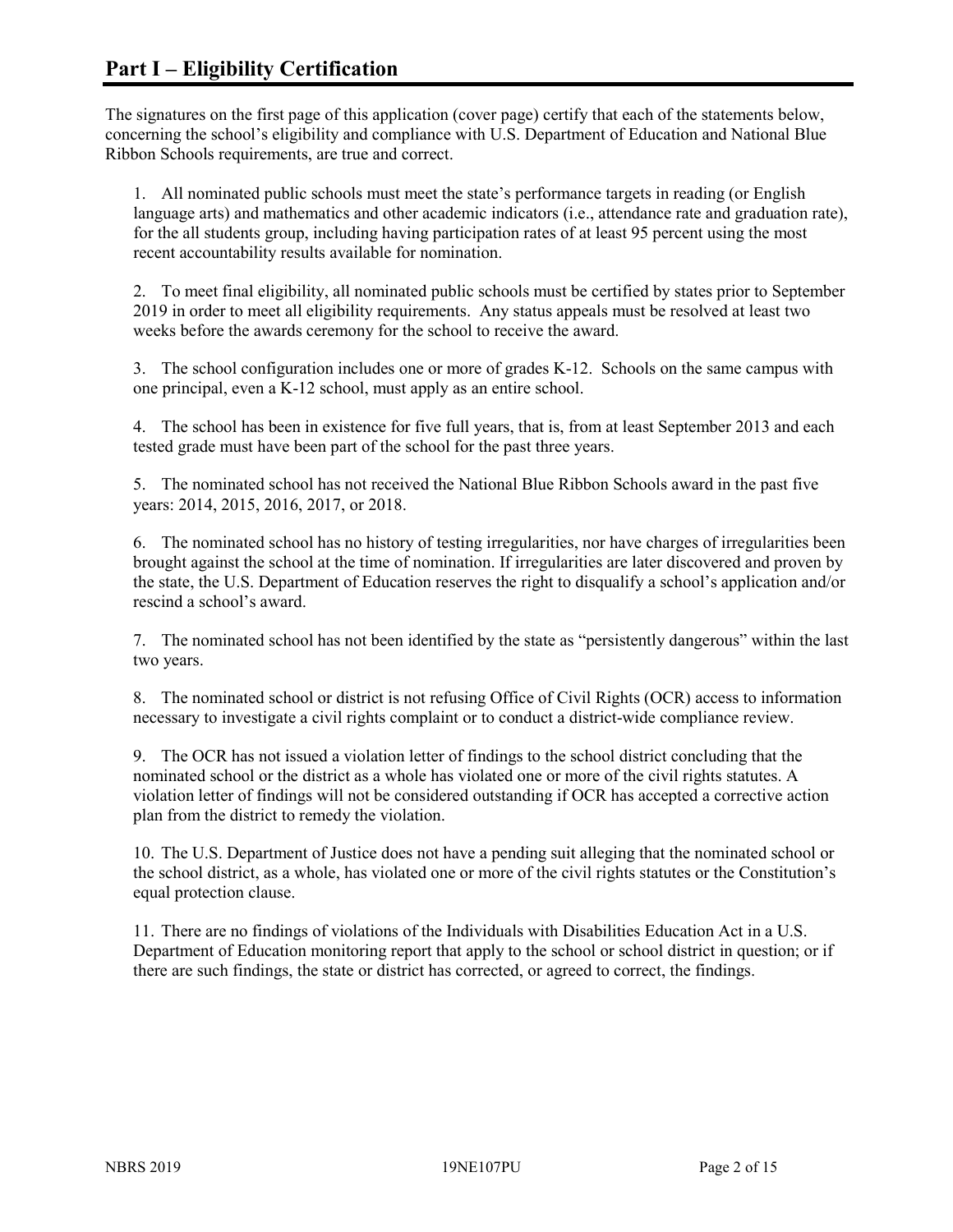The signatures on the first page of this application (cover page) certify that each of the statements below, concerning the school's eligibility and compliance with U.S. Department of Education and National Blue Ribbon Schools requirements, are true and correct.

1. All nominated public schools must meet the state's performance targets in reading (or English language arts) and mathematics and other academic indicators (i.e., attendance rate and graduation rate), for the all students group, including having participation rates of at least 95 percent using the most recent accountability results available for nomination.

2. To meet final eligibility, all nominated public schools must be certified by states prior to September 2019 in order to meet all eligibility requirements. Any status appeals must be resolved at least two weeks before the awards ceremony for the school to receive the award.

3. The school configuration includes one or more of grades K-12. Schools on the same campus with one principal, even a K-12 school, must apply as an entire school.

4. The school has been in existence for five full years, that is, from at least September 2013 and each tested grade must have been part of the school for the past three years.

5. The nominated school has not received the National Blue Ribbon Schools award in the past five years: 2014, 2015, 2016, 2017, or 2018.

6. The nominated school has no history of testing irregularities, nor have charges of irregularities been brought against the school at the time of nomination. If irregularities are later discovered and proven by the state, the U.S. Department of Education reserves the right to disqualify a school's application and/or rescind a school's award.

7. The nominated school has not been identified by the state as "persistently dangerous" within the last two years.

8. The nominated school or district is not refusing Office of Civil Rights (OCR) access to information necessary to investigate a civil rights complaint or to conduct a district-wide compliance review.

9. The OCR has not issued a violation letter of findings to the school district concluding that the nominated school or the district as a whole has violated one or more of the civil rights statutes. A violation letter of findings will not be considered outstanding if OCR has accepted a corrective action plan from the district to remedy the violation.

10. The U.S. Department of Justice does not have a pending suit alleging that the nominated school or the school district, as a whole, has violated one or more of the civil rights statutes or the Constitution's equal protection clause.

11. There are no findings of violations of the Individuals with Disabilities Education Act in a U.S. Department of Education monitoring report that apply to the school or school district in question; or if there are such findings, the state or district has corrected, or agreed to correct, the findings.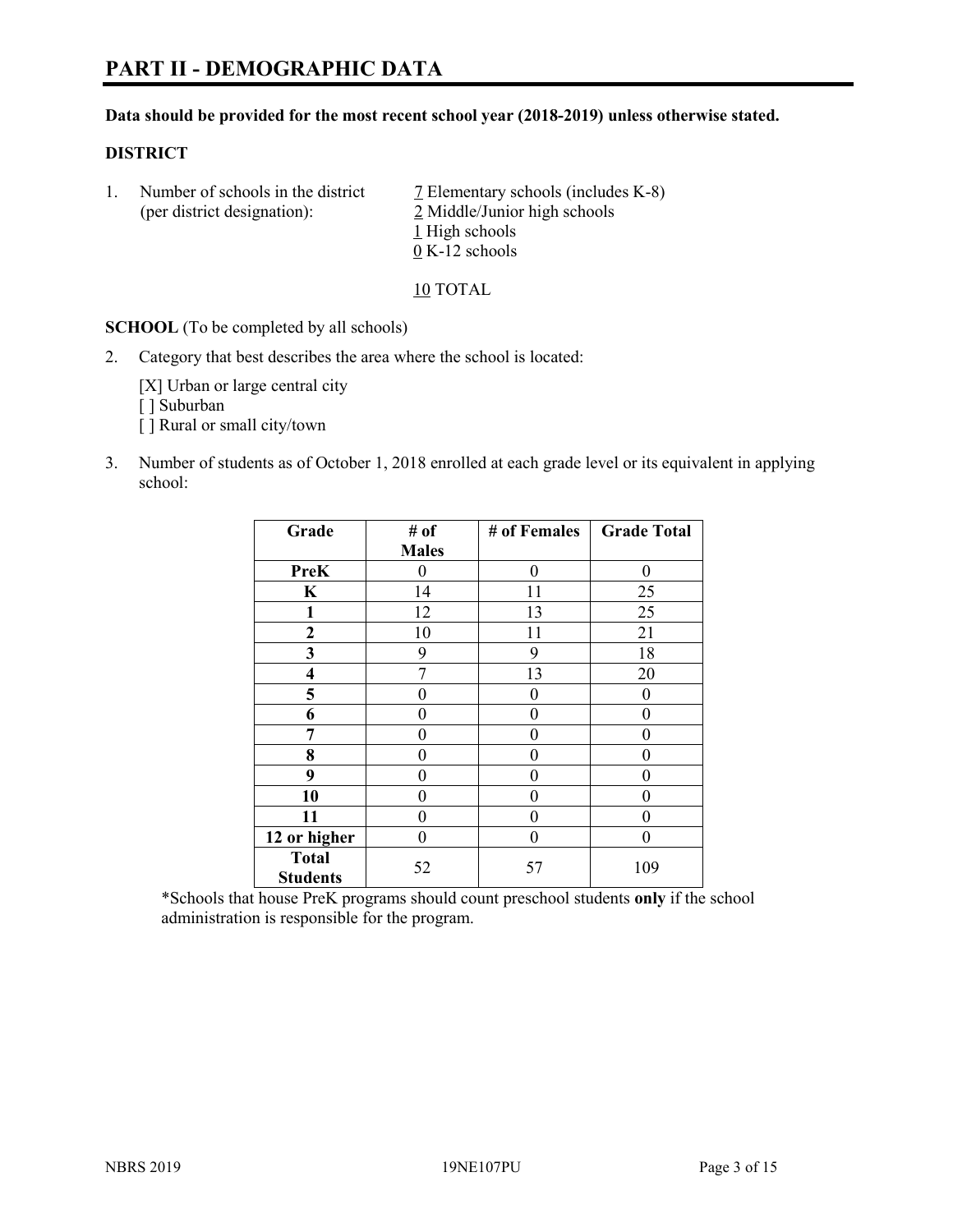#### **Data should be provided for the most recent school year (2018-2019) unless otherwise stated.**

#### **DISTRICT**

1. Number of schools in the district  $\overline{7}$  Elementary schools (includes K-8) (per district designation): 2 Middle/Junior high schools 1 High schools 0 K-12 schools

10 TOTAL

**SCHOOL** (To be completed by all schools)

2. Category that best describes the area where the school is located:

[X] Urban or large central city [ ] Suburban [] Rural or small city/town

3. Number of students as of October 1, 2018 enrolled at each grade level or its equivalent in applying school:

| Grade                           | # of         | # of Females | <b>Grade Total</b> |
|---------------------------------|--------------|--------------|--------------------|
|                                 | <b>Males</b> |              |                    |
| <b>PreK</b>                     | $\theta$     | $\theta$     | 0                  |
| $\mathbf K$                     | 14           | 11           | 25                 |
| 1                               | 12           | 13           | 25                 |
| $\mathbf{2}$                    | 10           | 11           | 21                 |
| 3                               | 9            | 9            | 18                 |
| 4                               | 7            | 13           | 20                 |
| 5                               | 0            | 0            | 0                  |
| 6                               | 0            | 0            | 0                  |
| 7                               | 0            | 0            | 0                  |
| 8                               | 0            | 0            | 0                  |
| 9                               | 0            | 0            | 0                  |
| 10                              | 0            | 0            | 0                  |
| 11                              | 0            | 0            | 0                  |
| 12 or higher                    | 0            | 0            | 0                  |
| <b>Total</b><br><b>Students</b> | 52           | 57           | 109                |

\*Schools that house PreK programs should count preschool students **only** if the school administration is responsible for the program.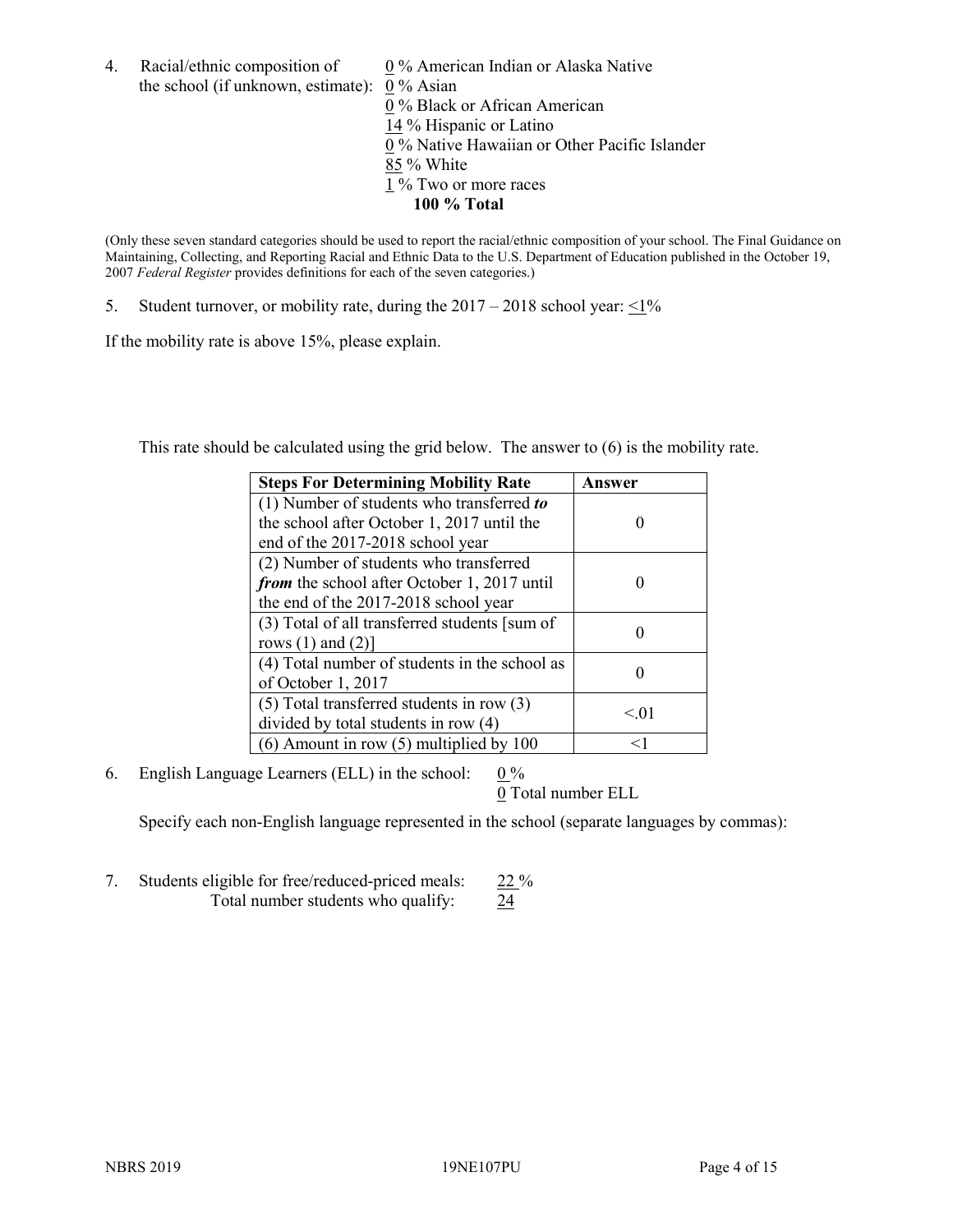4. Racial/ethnic composition of  $0\%$  American Indian or Alaska Native the school (if unknown, estimate): 0 % Asian 0 % Black or African American 14 % Hispanic or Latino 0 % Native Hawaiian or Other Pacific Islander 85 % White  $1\%$  Two or more races **100 % Total**

(Only these seven standard categories should be used to report the racial/ethnic composition of your school. The Final Guidance on Maintaining, Collecting, and Reporting Racial and Ethnic Data to the U.S. Department of Education published in the October 19, 2007 *Federal Register* provides definitions for each of the seven categories.)

5. Student turnover, or mobility rate, during the  $2017 - 2018$  school year:  $\leq 1\%$ 

If the mobility rate is above 15%, please explain.

This rate should be calculated using the grid below. The answer to (6) is the mobility rate.

| <b>Steps For Determining Mobility Rate</b>    | Answer |
|-----------------------------------------------|--------|
| (1) Number of students who transferred to     |        |
| the school after October 1, 2017 until the    |        |
| end of the 2017-2018 school year              |        |
| (2) Number of students who transferred        |        |
| from the school after October 1, 2017 until   |        |
| the end of the 2017-2018 school year          |        |
| (3) Total of all transferred students [sum of |        |
| rows $(1)$ and $(2)$ ]                        |        |
| (4) Total number of students in the school as |        |
| of October 1, 2017                            |        |
| $(5)$ Total transferred students in row $(3)$ | < 01   |
| divided by total students in row (4)          |        |
| $(6)$ Amount in row $(5)$ multiplied by 100   | <1     |

6. English Language Learners (ELL) in the school:  $0\%$ 

0 Total number ELL

Specify each non-English language represented in the school (separate languages by commas):

7. Students eligible for free/reduced-priced meals: 22 % Total number students who qualify: 24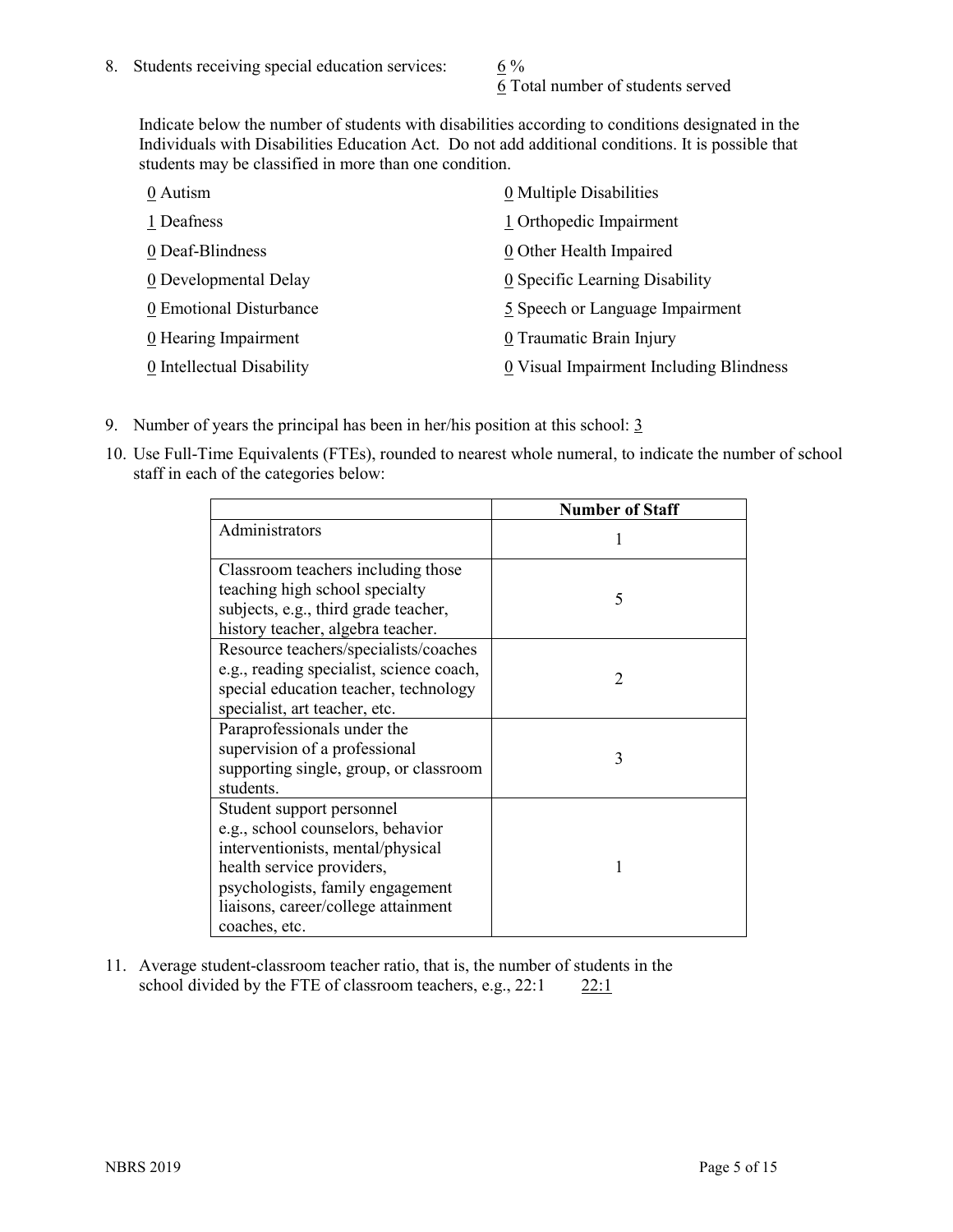6 Total number of students served

Indicate below the number of students with disabilities according to conditions designated in the Individuals with Disabilities Education Act. Do not add additional conditions. It is possible that students may be classified in more than one condition.

| 0 Autism                           | 0 Multiple Disabilities                 |
|------------------------------------|-----------------------------------------|
| 1 Deafness                         | 1 Orthopedic Impairment                 |
| 0 Deaf-Blindness                   | 0 Other Health Impaired                 |
| 0 Developmental Delay              | 0 Specific Learning Disability          |
| 0 Emotional Disturbance            | 5 Speech or Language Impairment         |
| $\underline{0}$ Hearing Impairment | 0 Traumatic Brain Injury                |
| 0 Intellectual Disability          | 0 Visual Impairment Including Blindness |

- 9. Number of years the principal has been in her/his position at this school:  $\frac{3}{5}$
- 10. Use Full-Time Equivalents (FTEs), rounded to nearest whole numeral, to indicate the number of school staff in each of the categories below:

|                                                                                                                                                                                                                              | <b>Number of Staff</b> |
|------------------------------------------------------------------------------------------------------------------------------------------------------------------------------------------------------------------------------|------------------------|
| Administrators                                                                                                                                                                                                               |                        |
| Classroom teachers including those<br>teaching high school specialty<br>subjects, e.g., third grade teacher,<br>history teacher, algebra teacher.                                                                            | 5                      |
| Resource teachers/specialists/coaches<br>e.g., reading specialist, science coach,<br>special education teacher, technology<br>specialist, art teacher, etc.                                                                  | $\mathcal{D}$          |
| Paraprofessionals under the<br>supervision of a professional<br>supporting single, group, or classroom<br>students.                                                                                                          | 3                      |
| Student support personnel<br>e.g., school counselors, behavior<br>interventionists, mental/physical<br>health service providers,<br>psychologists, family engagement<br>liaisons, career/college attainment<br>coaches, etc. |                        |

11. Average student-classroom teacher ratio, that is, the number of students in the school divided by the FTE of classroom teachers, e.g.,  $22:1$  22:1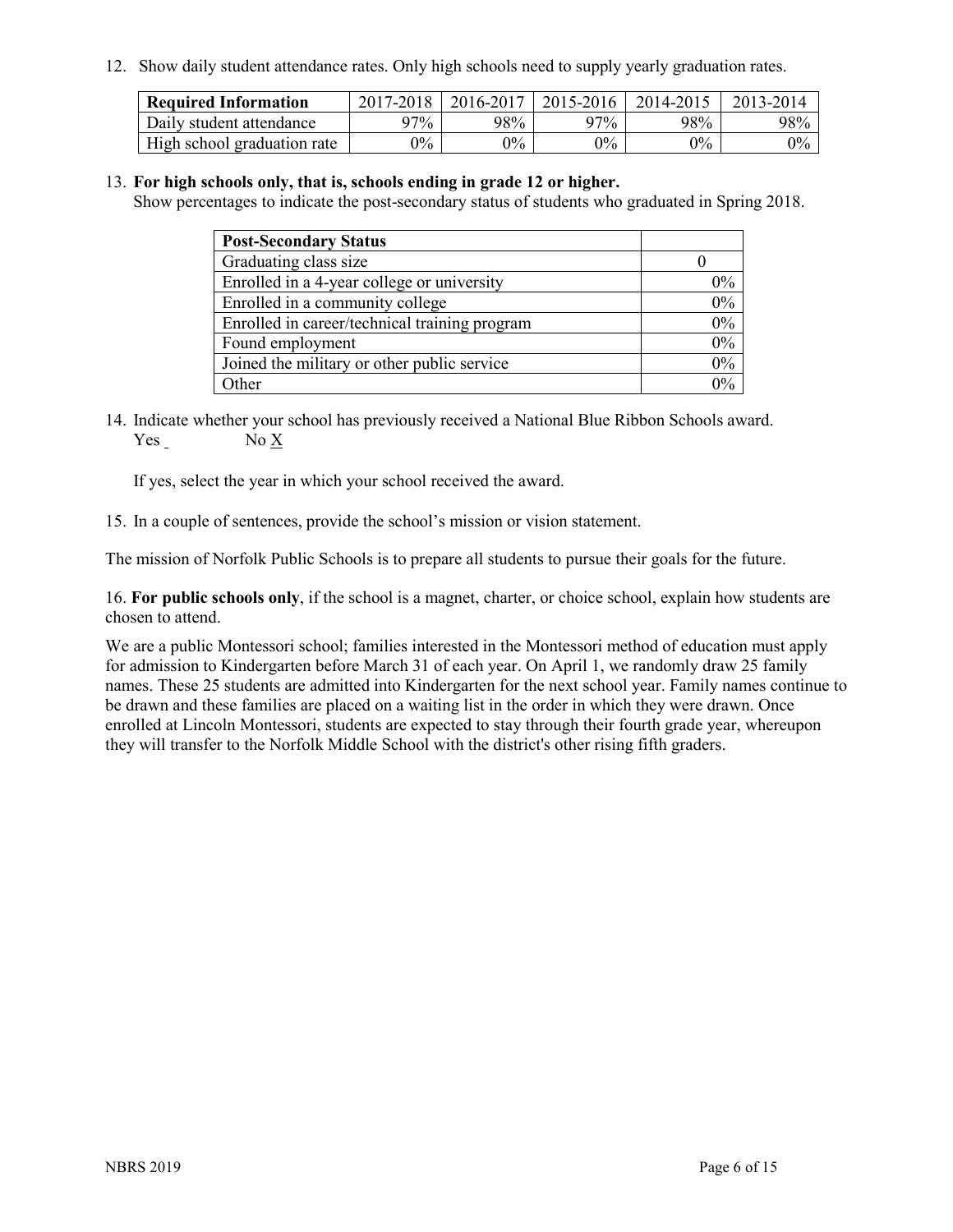12. Show daily student attendance rates. Only high schools need to supply yearly graduation rates.

| <b>Required Information</b> | 2017-2018 | 2016-2017 | 2015-2016 | 2014-2015 | 2013-2014 |
|-----------------------------|-----------|-----------|-----------|-----------|-----------|
| Daily student attendance    | 97%       | 98%       | 97%       | 98%       | 98%       |
| High school graduation rate | $0\%$     | $0\%$     | $0\%$     | $9\%$     | $0\%$     |

#### 13. **For high schools only, that is, schools ending in grade 12 or higher.**

Show percentages to indicate the post-secondary status of students who graduated in Spring 2018.

| <b>Post-Secondary Status</b>                  |          |
|-----------------------------------------------|----------|
| Graduating class size                         |          |
| Enrolled in a 4-year college or university    | $0\%$    |
| Enrolled in a community college               | 0%       |
| Enrolled in career/technical training program | 0%       |
| Found employment                              | 0%       |
| Joined the military or other public service   | 0%       |
| Other                                         | $\Omega$ |

14. Indicate whether your school has previously received a National Blue Ribbon Schools award. Yes No X

If yes, select the year in which your school received the award.

15. In a couple of sentences, provide the school's mission or vision statement.

The mission of Norfolk Public Schools is to prepare all students to pursue their goals for the future.

16. **For public schools only**, if the school is a magnet, charter, or choice school, explain how students are chosen to attend.

We are a public Montessori school; families interested in the Montessori method of education must apply for admission to Kindergarten before March 31 of each year. On April 1, we randomly draw 25 family names. These 25 students are admitted into Kindergarten for the next school year. Family names continue to be drawn and these families are placed on a waiting list in the order in which they were drawn. Once enrolled at Lincoln Montessori, students are expected to stay through their fourth grade year, whereupon they will transfer to the Norfolk Middle School with the district's other rising fifth graders.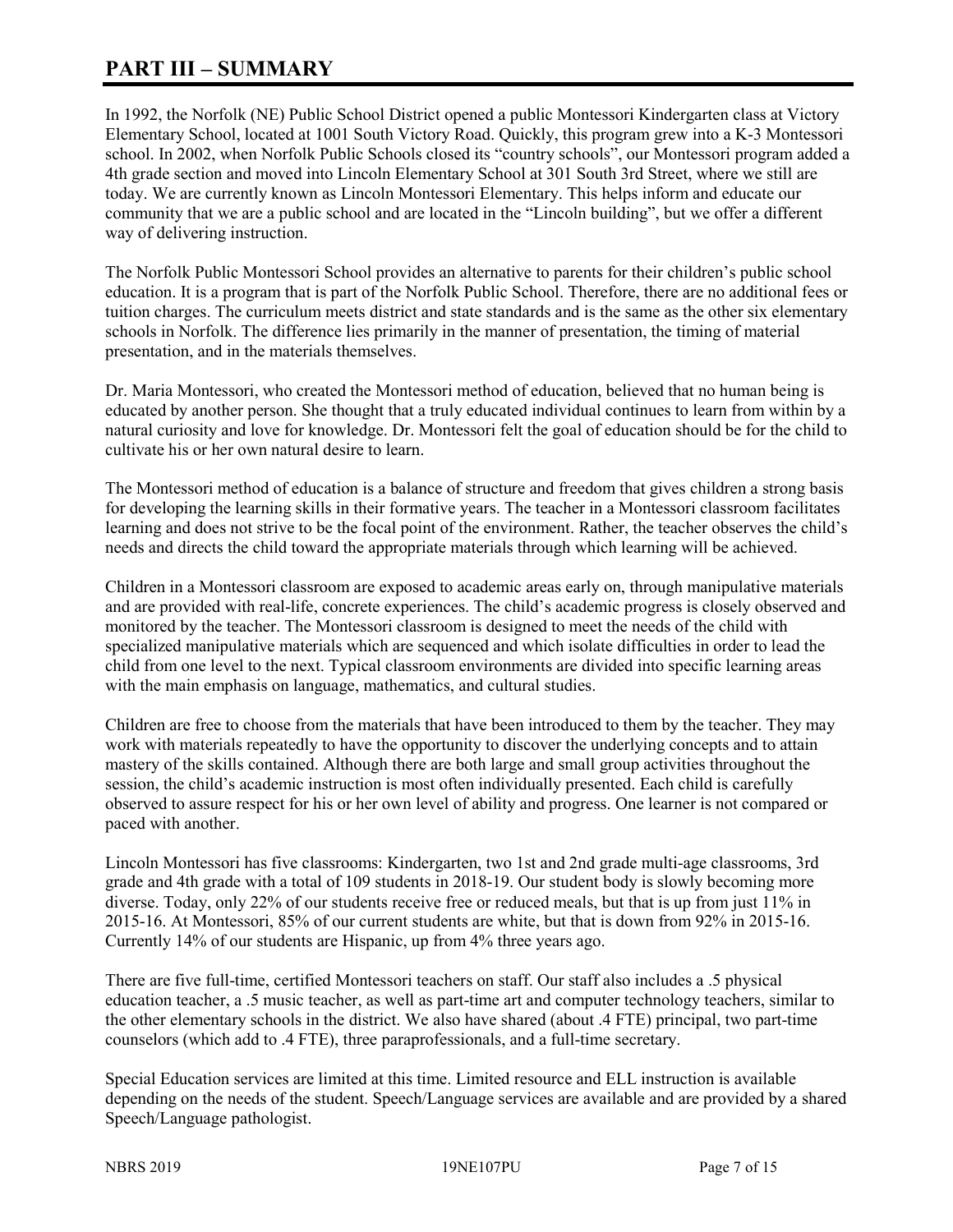# **PART III – SUMMARY**

In 1992, the Norfolk (NE) Public School District opened a public Montessori Kindergarten class at Victory Elementary School, located at 1001 South Victory Road. Quickly, this program grew into a K-3 Montessori school. In 2002, when Norfolk Public Schools closed its "country schools", our Montessori program added a 4th grade section and moved into Lincoln Elementary School at 301 South 3rd Street, where we still are today. We are currently known as Lincoln Montessori Elementary. This helps inform and educate our community that we are a public school and are located in the "Lincoln building", but we offer a different way of delivering instruction.

The Norfolk Public Montessori School provides an alternative to parents for their children's public school education. It is a program that is part of the Norfolk Public School. Therefore, there are no additional fees or tuition charges. The curriculum meets district and state standards and is the same as the other six elementary schools in Norfolk. The difference lies primarily in the manner of presentation, the timing of material presentation, and in the materials themselves.

Dr. Maria Montessori, who created the Montessori method of education, believed that no human being is educated by another person. She thought that a truly educated individual continues to learn from within by a natural curiosity and love for knowledge. Dr. Montessori felt the goal of education should be for the child to cultivate his or her own natural desire to learn.

The Montessori method of education is a balance of structure and freedom that gives children a strong basis for developing the learning skills in their formative years. The teacher in a Montessori classroom facilitates learning and does not strive to be the focal point of the environment. Rather, the teacher observes the child's needs and directs the child toward the appropriate materials through which learning will be achieved.

Children in a Montessori classroom are exposed to academic areas early on, through manipulative materials and are provided with real-life, concrete experiences. The child's academic progress is closely observed and monitored by the teacher. The Montessori classroom is designed to meet the needs of the child with specialized manipulative materials which are sequenced and which isolate difficulties in order to lead the child from one level to the next. Typical classroom environments are divided into specific learning areas with the main emphasis on language, mathematics, and cultural studies.

Children are free to choose from the materials that have been introduced to them by the teacher. They may work with materials repeatedly to have the opportunity to discover the underlying concepts and to attain mastery of the skills contained. Although there are both large and small group activities throughout the session, the child's academic instruction is most often individually presented. Each child is carefully observed to assure respect for his or her own level of ability and progress. One learner is not compared or paced with another.

Lincoln Montessori has five classrooms: Kindergarten, two 1st and 2nd grade multi-age classrooms, 3rd grade and 4th grade with a total of 109 students in 2018-19. Our student body is slowly becoming more diverse. Today, only 22% of our students receive free or reduced meals, but that is up from just 11% in 2015-16. At Montessori, 85% of our current students are white, but that is down from 92% in 2015-16. Currently 14% of our students are Hispanic, up from 4% three years ago.

There are five full-time, certified Montessori teachers on staff. Our staff also includes a .5 physical education teacher, a .5 music teacher, as well as part-time art and computer technology teachers, similar to the other elementary schools in the district. We also have shared (about .4 FTE) principal, two part-time counselors (which add to .4 FTE), three paraprofessionals, and a full-time secretary.

Special Education services are limited at this time. Limited resource and ELL instruction is available depending on the needs of the student. Speech/Language services are available and are provided by a shared Speech/Language pathologist.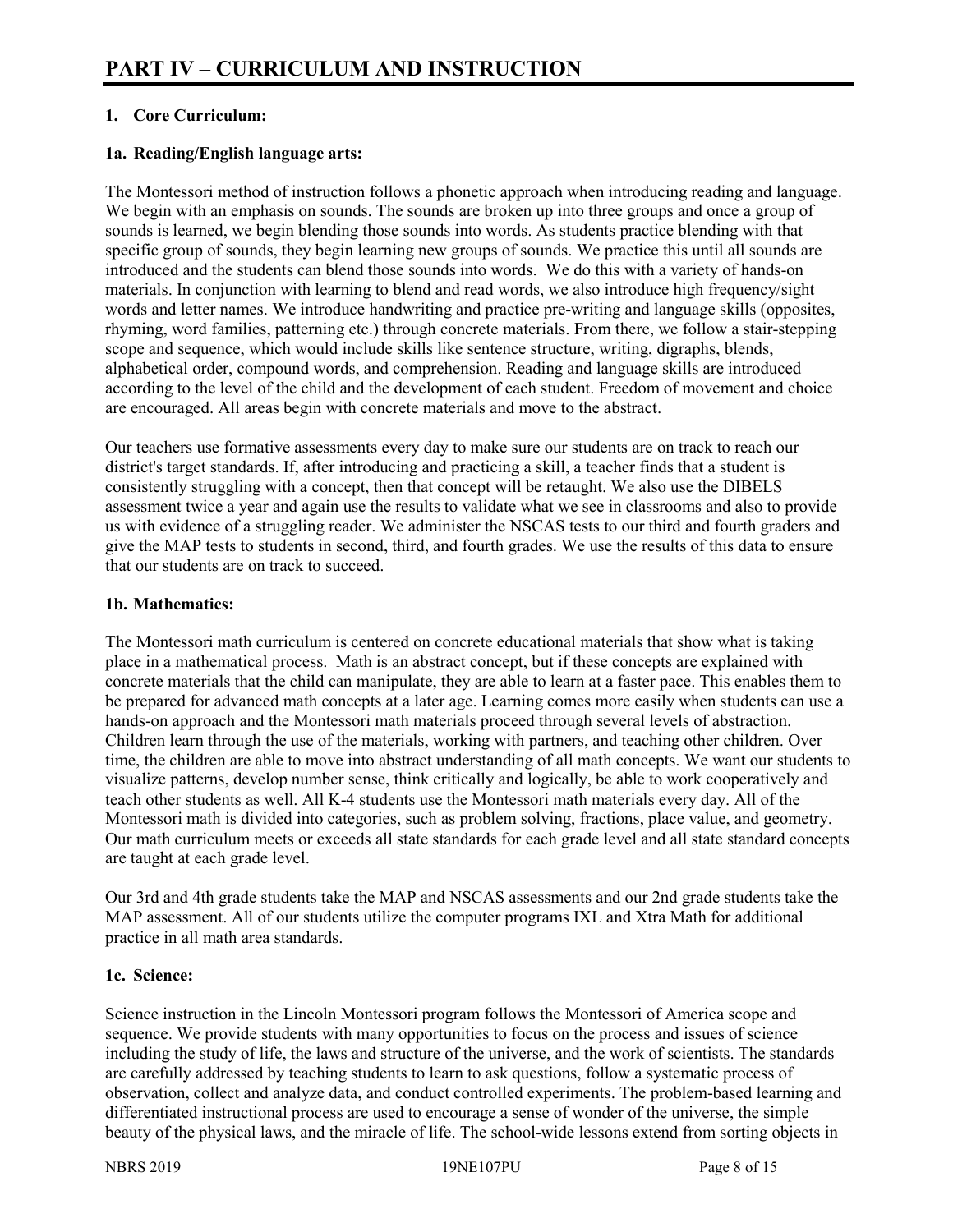# **1. Core Curriculum:**

## **1a. Reading/English language arts:**

The Montessori method of instruction follows a phonetic approach when introducing reading and language. We begin with an emphasis on sounds. The sounds are broken up into three groups and once a group of sounds is learned, we begin blending those sounds into words. As students practice blending with that specific group of sounds, they begin learning new groups of sounds. We practice this until all sounds are introduced and the students can blend those sounds into words. We do this with a variety of hands-on materials. In conjunction with learning to blend and read words, we also introduce high frequency/sight words and letter names. We introduce handwriting and practice pre-writing and language skills (opposites, rhyming, word families, patterning etc.) through concrete materials. From there, we follow a stair-stepping scope and sequence, which would include skills like sentence structure, writing, digraphs, blends, alphabetical order, compound words, and comprehension. Reading and language skills are introduced according to the level of the child and the development of each student. Freedom of movement and choice are encouraged. All areas begin with concrete materials and move to the abstract.

Our teachers use formative assessments every day to make sure our students are on track to reach our district's target standards. If, after introducing and practicing a skill, a teacher finds that a student is consistently struggling with a concept, then that concept will be retaught. We also use the DIBELS assessment twice a year and again use the results to validate what we see in classrooms and also to provide us with evidence of a struggling reader. We administer the NSCAS tests to our third and fourth graders and give the MAP tests to students in second, third, and fourth grades. We use the results of this data to ensure that our students are on track to succeed.

## **1b. Mathematics:**

The Montessori math curriculum is centered on concrete educational materials that show what is taking place in a mathematical process. Math is an abstract concept, but if these concepts are explained with concrete materials that the child can manipulate, they are able to learn at a faster pace. This enables them to be prepared for advanced math concepts at a later age. Learning comes more easily when students can use a hands-on approach and the Montessori math materials proceed through several levels of abstraction. Children learn through the use of the materials, working with partners, and teaching other children. Over time, the children are able to move into abstract understanding of all math concepts. We want our students to visualize patterns, develop number sense, think critically and logically, be able to work cooperatively and teach other students as well. All K-4 students use the Montessori math materials every day. All of the Montessori math is divided into categories, such as problem solving, fractions, place value, and geometry. Our math curriculum meets or exceeds all state standards for each grade level and all state standard concepts are taught at each grade level.

Our 3rd and 4th grade students take the MAP and NSCAS assessments and our 2nd grade students take the MAP assessment. All of our students utilize the computer programs IXL and Xtra Math for additional practice in all math area standards.

## **1c. Science:**

Science instruction in the Lincoln Montessori program follows the Montessori of America scope and sequence. We provide students with many opportunities to focus on the process and issues of science including the study of life, the laws and structure of the universe, and the work of scientists. The standards are carefully addressed by teaching students to learn to ask questions, follow a systematic process of observation, collect and analyze data, and conduct controlled experiments. The problem-based learning and differentiated instructional process are used to encourage a sense of wonder of the universe, the simple beauty of the physical laws, and the miracle of life. The school-wide lessons extend from sorting objects in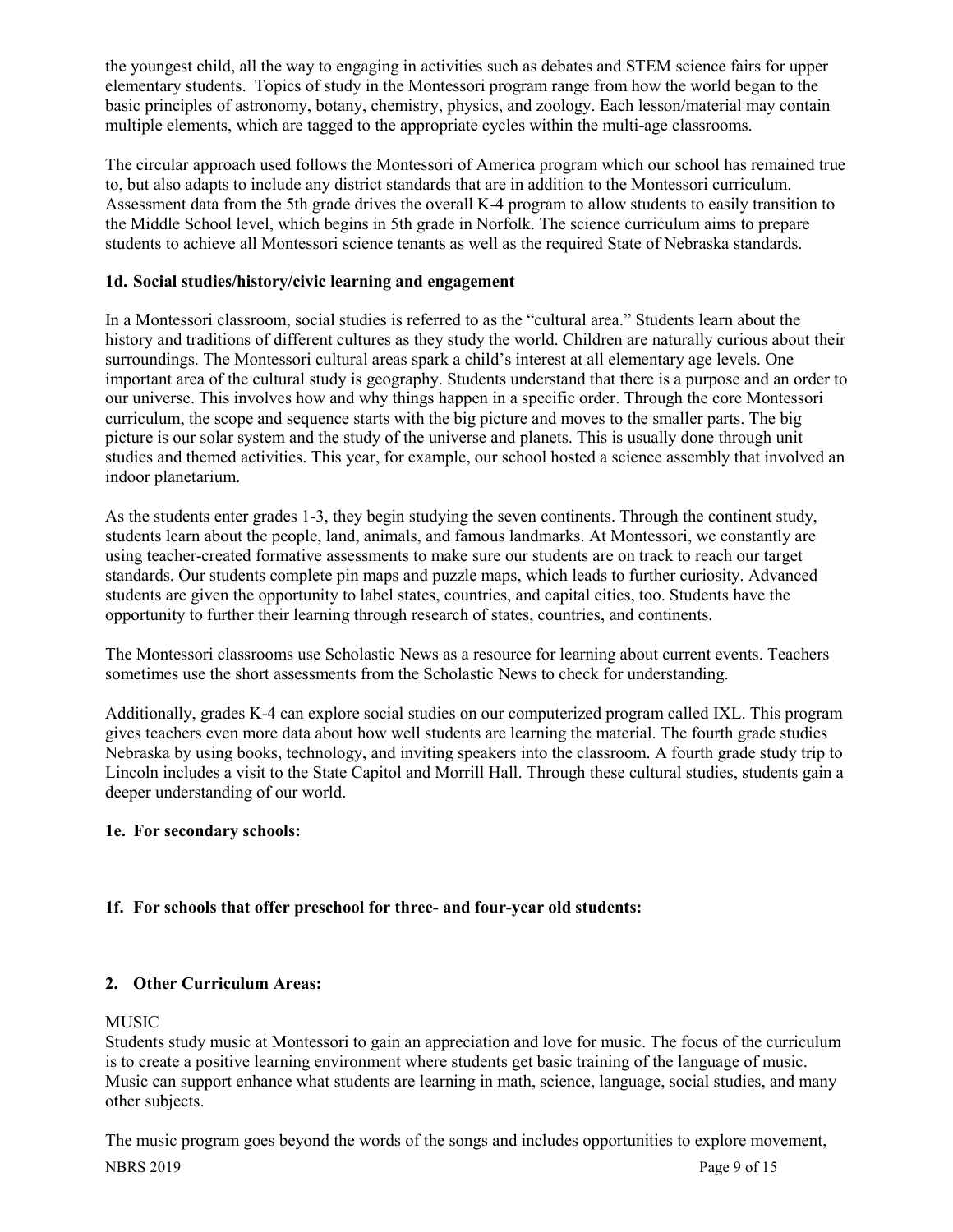the youngest child, all the way to engaging in activities such as debates and STEM science fairs for upper elementary students. Topics of study in the Montessori program range from how the world began to the basic principles of astronomy, botany, chemistry, physics, and zoology. Each lesson/material may contain multiple elements, which are tagged to the appropriate cycles within the multi-age classrooms.

The circular approach used follows the Montessori of America program which our school has remained true to, but also adapts to include any district standards that are in addition to the Montessori curriculum. Assessment data from the 5th grade drives the overall K-4 program to allow students to easily transition to the Middle School level, which begins in 5th grade in Norfolk. The science curriculum aims to prepare students to achieve all Montessori science tenants as well as the required State of Nebraska standards.

# **1d. Social studies/history/civic learning and engagement**

In a Montessori classroom, social studies is referred to as the "cultural area." Students learn about the history and traditions of different cultures as they study the world. Children are naturally curious about their surroundings. The Montessori cultural areas spark a child's interest at all elementary age levels. One important area of the cultural study is geography. Students understand that there is a purpose and an order to our universe. This involves how and why things happen in a specific order. Through the core Montessori curriculum, the scope and sequence starts with the big picture and moves to the smaller parts. The big picture is our solar system and the study of the universe and planets. This is usually done through unit studies and themed activities. This year, for example, our school hosted a science assembly that involved an indoor planetarium.

As the students enter grades 1-3, they begin studying the seven continents. Through the continent study, students learn about the people, land, animals, and famous landmarks. At Montessori, we constantly are using teacher-created formative assessments to make sure our students are on track to reach our target standards. Our students complete pin maps and puzzle maps, which leads to further curiosity. Advanced students are given the opportunity to label states, countries, and capital cities, too. Students have the opportunity to further their learning through research of states, countries, and continents.

The Montessori classrooms use Scholastic News as a resource for learning about current events. Teachers sometimes use the short assessments from the Scholastic News to check for understanding.

Additionally, grades K-4 can explore social studies on our computerized program called IXL. This program gives teachers even more data about how well students are learning the material. The fourth grade studies Nebraska by using books, technology, and inviting speakers into the classroom. A fourth grade study trip to Lincoln includes a visit to the State Capitol and Morrill Hall. Through these cultural studies, students gain a deeper understanding of our world.

# **1e. For secondary schools:**

# **1f. For schools that offer preschool for three- and four-year old students:**

# **2. Other Curriculum Areas:**

#### MUSIC

Students study music at Montessori to gain an appreciation and love for music. The focus of the curriculum is to create a positive learning environment where students get basic training of the language of music. Music can support enhance what students are learning in math, science, language, social studies, and many other subjects.

The music program goes beyond the words of the songs and includes opportunities to explore movement,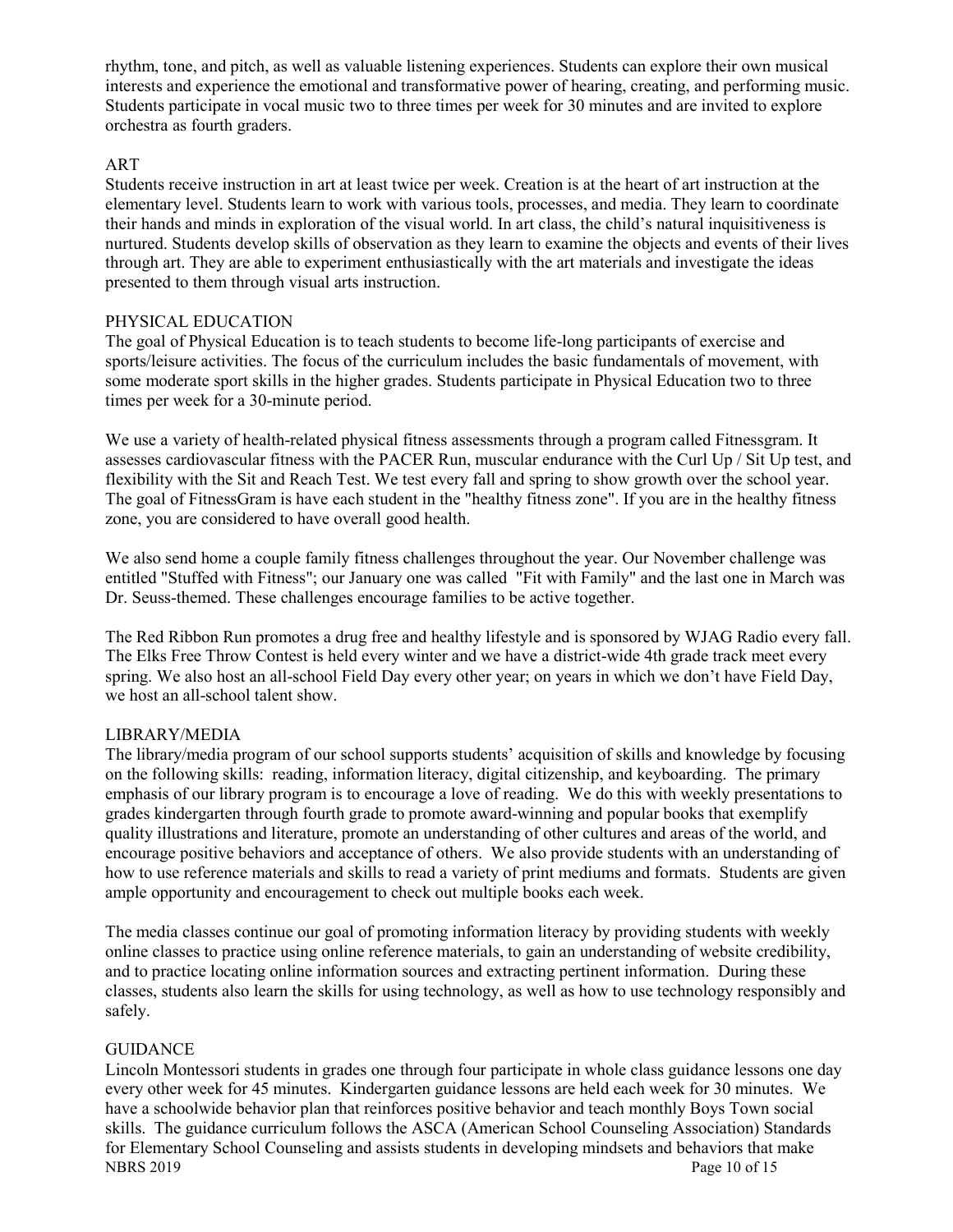rhythm, tone, and pitch, as well as valuable listening experiences. Students can explore their own musical interests and experience the emotional and transformative power of hearing, creating, and performing music. Students participate in vocal music two to three times per week for 30 minutes and are invited to explore orchestra as fourth graders.

## ART

Students receive instruction in art at least twice per week. Creation is at the heart of art instruction at the elementary level. Students learn to work with various tools, processes, and media. They learn to coordinate their hands and minds in exploration of the visual world. In art class, the child's natural inquisitiveness is nurtured. Students develop skills of observation as they learn to examine the objects and events of their lives through art. They are able to experiment enthusiastically with the art materials and investigate the ideas presented to them through visual arts instruction.

#### PHYSICAL EDUCATION

The goal of Physical Education is to teach students to become life-long participants of exercise and sports/leisure activities. The focus of the curriculum includes the basic fundamentals of movement, with some moderate sport skills in the higher grades. Students participate in Physical Education two to three times per week for a 30-minute period.

We use a variety of health-related physical fitness assessments through a program called Fitnessgram. It assesses cardiovascular fitness with the PACER Run, muscular endurance with the Curl Up / Sit Up test, and flexibility with the Sit and Reach Test. We test every fall and spring to show growth over the school year. The goal of FitnessGram is have each student in the "healthy fitness zone". If you are in the healthy fitness zone, you are considered to have overall good health.

We also send home a couple family fitness challenges throughout the year. Our November challenge was entitled "Stuffed with Fitness"; our January one was called "Fit with Family" and the last one in March was Dr. Seuss-themed. These challenges encourage families to be active together.

The Red Ribbon Run promotes a drug free and healthy lifestyle and is sponsored by WJAG Radio every fall. The Elks Free Throw Contest is held every winter and we have a district-wide 4th grade track meet every spring. We also host an all-school Field Day every other year; on years in which we don't have Field Day, we host an all-school talent show.

# LIBRARY/MEDIA

The library/media program of our school supports students' acquisition of skills and knowledge by focusing on the following skills: reading, information literacy, digital citizenship, and keyboarding. The primary emphasis of our library program is to encourage a love of reading. We do this with weekly presentations to grades kindergarten through fourth grade to promote award-winning and popular books that exemplify quality illustrations and literature, promote an understanding of other cultures and areas of the world, and encourage positive behaviors and acceptance of others. We also provide students with an understanding of how to use reference materials and skills to read a variety of print mediums and formats. Students are given ample opportunity and encouragement to check out multiple books each week.

The media classes continue our goal of promoting information literacy by providing students with weekly online classes to practice using online reference materials, to gain an understanding of website credibility, and to practice locating online information sources and extracting pertinent information. During these classes, students also learn the skills for using technology, as well as how to use technology responsibly and safely.

# **GUIDANCE**

NBRS 2019 Page 10 of 15 Lincoln Montessori students in grades one through four participate in whole class guidance lessons one day every other week for 45 minutes. Kindergarten guidance lessons are held each week for 30 minutes. We have a schoolwide behavior plan that reinforces positive behavior and teach monthly Boys Town social skills. The guidance curriculum follows the ASCA (American School Counseling Association) Standards for Elementary School Counseling and assists students in developing mindsets and behaviors that make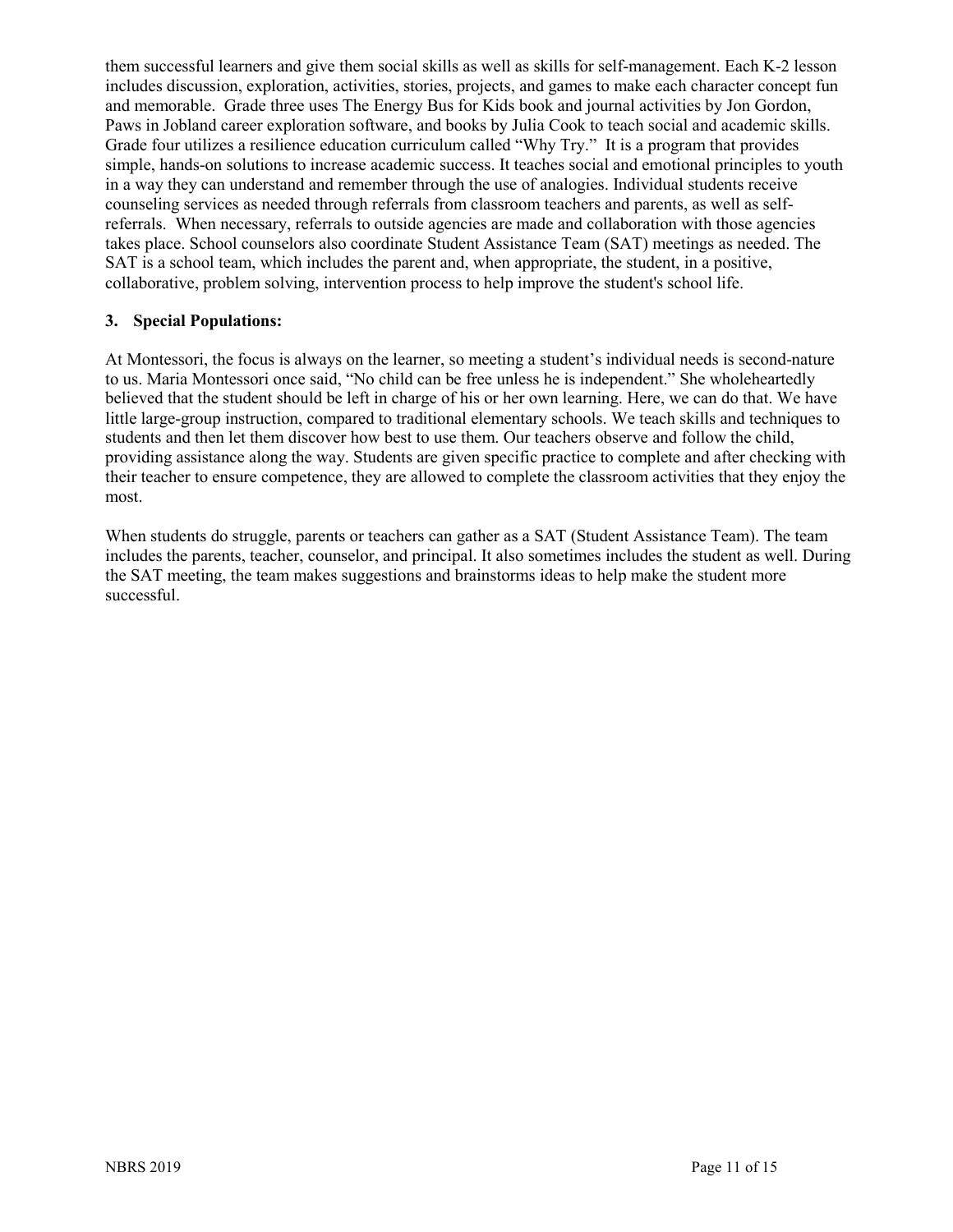them successful learners and give them social skills as well as skills for self-management. Each K-2 lesson includes discussion, exploration, activities, stories, projects, and games to make each character concept fun and memorable. Grade three uses The Energy Bus for Kids book and journal activities by Jon Gordon, Paws in Jobland career exploration software, and books by Julia Cook to teach social and academic skills. Grade four utilizes a resilience education curriculum called "Why Try." It is a program that provides simple, hands-on solutions to increase academic success. It teaches social and emotional principles to youth in a way they can understand and remember through the use of analogies. Individual students receive counseling services as needed through referrals from classroom teachers and parents, as well as selfreferrals. When necessary, referrals to outside agencies are made and collaboration with those agencies takes place. School counselors also coordinate Student Assistance Team (SAT) meetings as needed. The SAT is a school team, which includes the parent and, when appropriate, the student, in a positive, collaborative, problem solving, intervention process to help improve the student's school life.

# **3. Special Populations:**

At Montessori, the focus is always on the learner, so meeting a student's individual needs is second-nature to us. Maria Montessori once said, "No child can be free unless he is independent." She wholeheartedly believed that the student should be left in charge of his or her own learning. Here, we can do that. We have little large-group instruction, compared to traditional elementary schools. We teach skills and techniques to students and then let them discover how best to use them. Our teachers observe and follow the child, providing assistance along the way. Students are given specific practice to complete and after checking with their teacher to ensure competence, they are allowed to complete the classroom activities that they enjoy the most.

When students do struggle, parents or teachers can gather as a SAT (Student Assistance Team). The team includes the parents, teacher, counselor, and principal. It also sometimes includes the student as well. During the SAT meeting, the team makes suggestions and brainstorms ideas to help make the student more successful.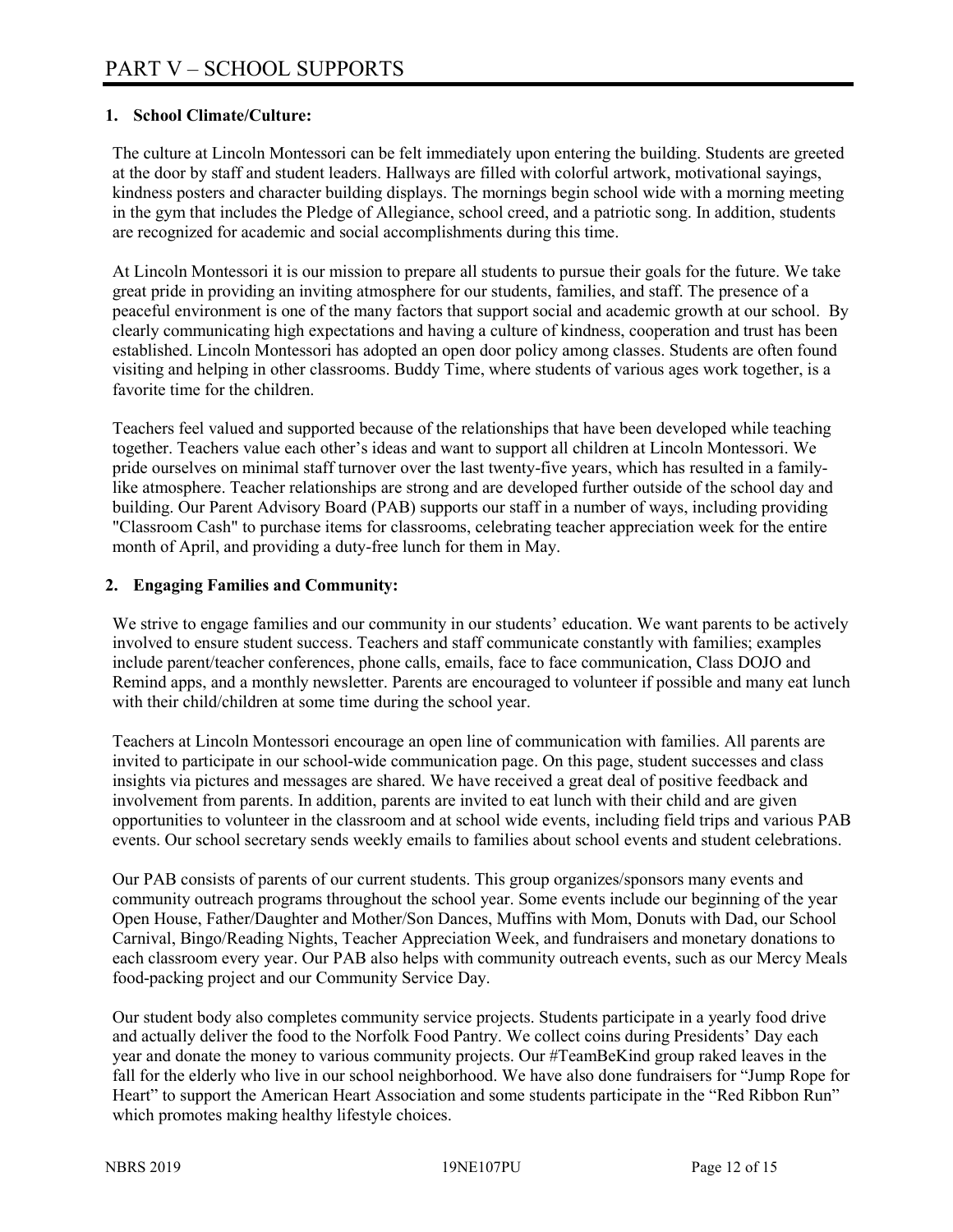## **1. School Climate/Culture:**

The culture at Lincoln Montessori can be felt immediately upon entering the building. Students are greeted at the door by staff and student leaders. Hallways are filled with colorful artwork, motivational sayings, kindness posters and character building displays. The mornings begin school wide with a morning meeting in the gym that includes the Pledge of Allegiance, school creed, and a patriotic song. In addition, students are recognized for academic and social accomplishments during this time.

At Lincoln Montessori it is our mission to prepare all students to pursue their goals for the future. We take great pride in providing an inviting atmosphere for our students, families, and staff. The presence of a peaceful environment is one of the many factors that support social and academic growth at our school. By clearly communicating high expectations and having a culture of kindness, cooperation and trust has been established. Lincoln Montessori has adopted an open door policy among classes. Students are often found visiting and helping in other classrooms. Buddy Time, where students of various ages work together, is a favorite time for the children.

Teachers feel valued and supported because of the relationships that have been developed while teaching together. Teachers value each other's ideas and want to support all children at Lincoln Montessori. We pride ourselves on minimal staff turnover over the last twenty-five years, which has resulted in a familylike atmosphere. Teacher relationships are strong and are developed further outside of the school day and building. Our Parent Advisory Board (PAB) supports our staff in a number of ways, including providing "Classroom Cash" to purchase items for classrooms, celebrating teacher appreciation week for the entire month of April, and providing a duty-free lunch for them in May.

## **2. Engaging Families and Community:**

We strive to engage families and our community in our students' education. We want parents to be actively involved to ensure student success. Teachers and staff communicate constantly with families; examples include parent/teacher conferences, phone calls, emails, face to face communication, Class DOJO and Remind apps, and a monthly newsletter. Parents are encouraged to volunteer if possible and many eat lunch with their child/children at some time during the school year.

Teachers at Lincoln Montessori encourage an open line of communication with families. All parents are invited to participate in our school-wide communication page. On this page, student successes and class insights via pictures and messages are shared. We have received a great deal of positive feedback and involvement from parents. In addition, parents are invited to eat lunch with their child and are given opportunities to volunteer in the classroom and at school wide events, including field trips and various PAB events. Our school secretary sends weekly emails to families about school events and student celebrations.

Our PAB consists of parents of our current students. This group organizes/sponsors many events and community outreach programs throughout the school year. Some events include our beginning of the year Open House, Father/Daughter and Mother/Son Dances, Muffins with Mom, Donuts with Dad, our School Carnival, Bingo/Reading Nights, Teacher Appreciation Week, and fundraisers and monetary donations to each classroom every year. Our PAB also helps with community outreach events, such as our Mercy Meals food-packing project and our Community Service Day.

Our student body also completes community service projects. Students participate in a yearly food drive and actually deliver the food to the Norfolk Food Pantry. We collect coins during Presidents' Day each year and donate the money to various community projects. Our #TeamBeKind group raked leaves in the fall for the elderly who live in our school neighborhood. We have also done fundraisers for "Jump Rope for Heart" to support the American Heart Association and some students participate in the "Red Ribbon Run" which promotes making healthy lifestyle choices.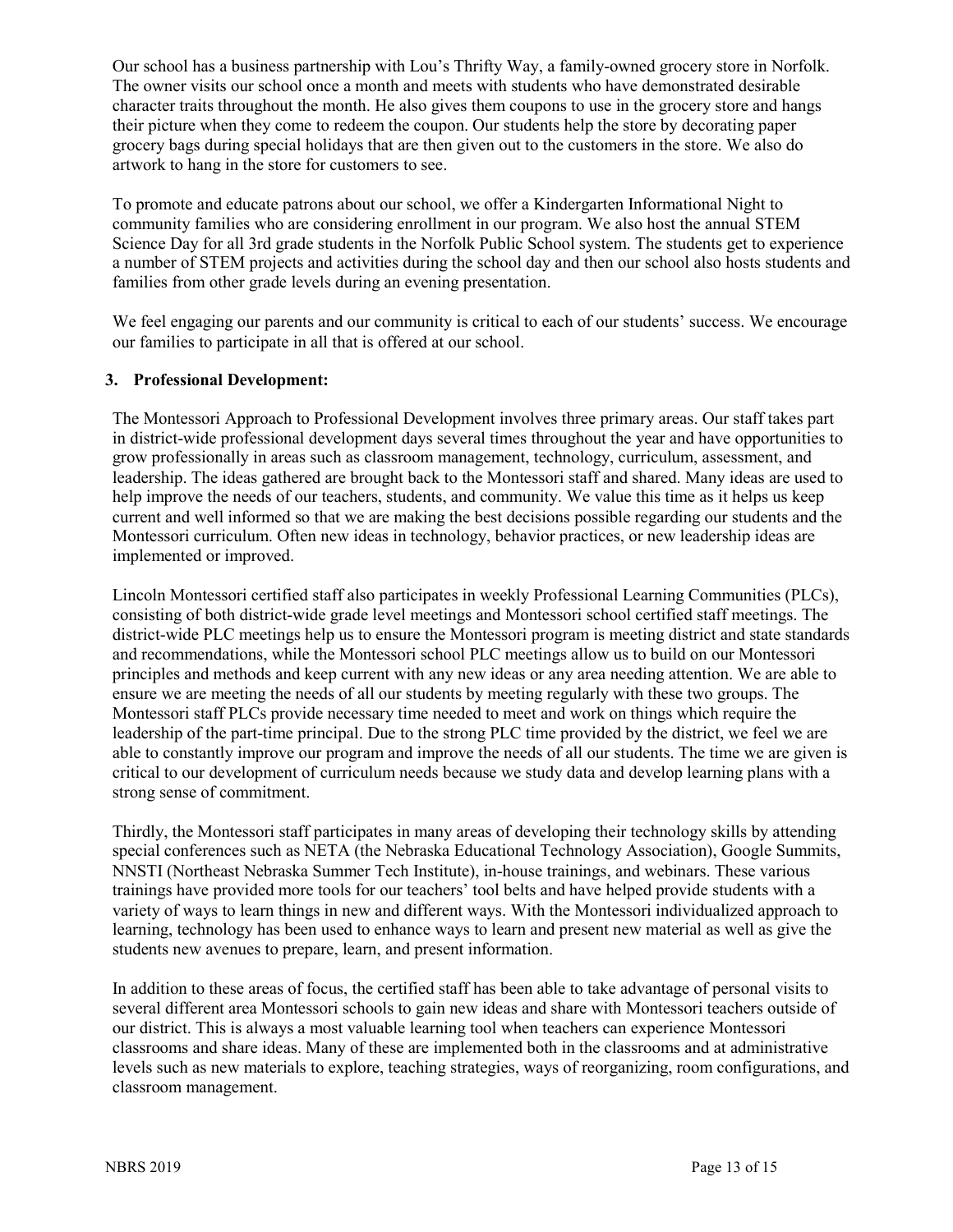Our school has a business partnership with Lou's Thrifty Way, a family-owned grocery store in Norfolk. The owner visits our school once a month and meets with students who have demonstrated desirable character traits throughout the month. He also gives them coupons to use in the grocery store and hangs their picture when they come to redeem the coupon. Our students help the store by decorating paper grocery bags during special holidays that are then given out to the customers in the store. We also do artwork to hang in the store for customers to see.

To promote and educate patrons about our school, we offer a Kindergarten Informational Night to community families who are considering enrollment in our program. We also host the annual STEM Science Day for all 3rd grade students in the Norfolk Public School system. The students get to experience a number of STEM projects and activities during the school day and then our school also hosts students and families from other grade levels during an evening presentation.

We feel engaging our parents and our community is critical to each of our students' success. We encourage our families to participate in all that is offered at our school.

# **3. Professional Development:**

The Montessori Approach to Professional Development involves three primary areas. Our staff takes part in district-wide professional development days several times throughout the year and have opportunities to grow professionally in areas such as classroom management, technology, curriculum, assessment, and leadership. The ideas gathered are brought back to the Montessori staff and shared. Many ideas are used to help improve the needs of our teachers, students, and community. We value this time as it helps us keep current and well informed so that we are making the best decisions possible regarding our students and the Montessori curriculum. Often new ideas in technology, behavior practices, or new leadership ideas are implemented or improved.

Lincoln Montessori certified staff also participates in weekly Professional Learning Communities (PLCs), consisting of both district-wide grade level meetings and Montessori school certified staff meetings. The district-wide PLC meetings help us to ensure the Montessori program is meeting district and state standards and recommendations, while the Montessori school PLC meetings allow us to build on our Montessori principles and methods and keep current with any new ideas or any area needing attention. We are able to ensure we are meeting the needs of all our students by meeting regularly with these two groups. The Montessori staff PLCs provide necessary time needed to meet and work on things which require the leadership of the part-time principal. Due to the strong PLC time provided by the district, we feel we are able to constantly improve our program and improve the needs of all our students. The time we are given is critical to our development of curriculum needs because we study data and develop learning plans with a strong sense of commitment.

Thirdly, the Montessori staff participates in many areas of developing their technology skills by attending special conferences such as NETA (the Nebraska Educational Technology Association), Google Summits, NNSTI (Northeast Nebraska Summer Tech Institute), in-house trainings, and webinars. These various trainings have provided more tools for our teachers' tool belts and have helped provide students with a variety of ways to learn things in new and different ways. With the Montessori individualized approach to learning, technology has been used to enhance ways to learn and present new material as well as give the students new avenues to prepare, learn, and present information.

In addition to these areas of focus, the certified staff has been able to take advantage of personal visits to several different area Montessori schools to gain new ideas and share with Montessori teachers outside of our district. This is always a most valuable learning tool when teachers can experience Montessori classrooms and share ideas. Many of these are implemented both in the classrooms and at administrative levels such as new materials to explore, teaching strategies, ways of reorganizing, room configurations, and classroom management.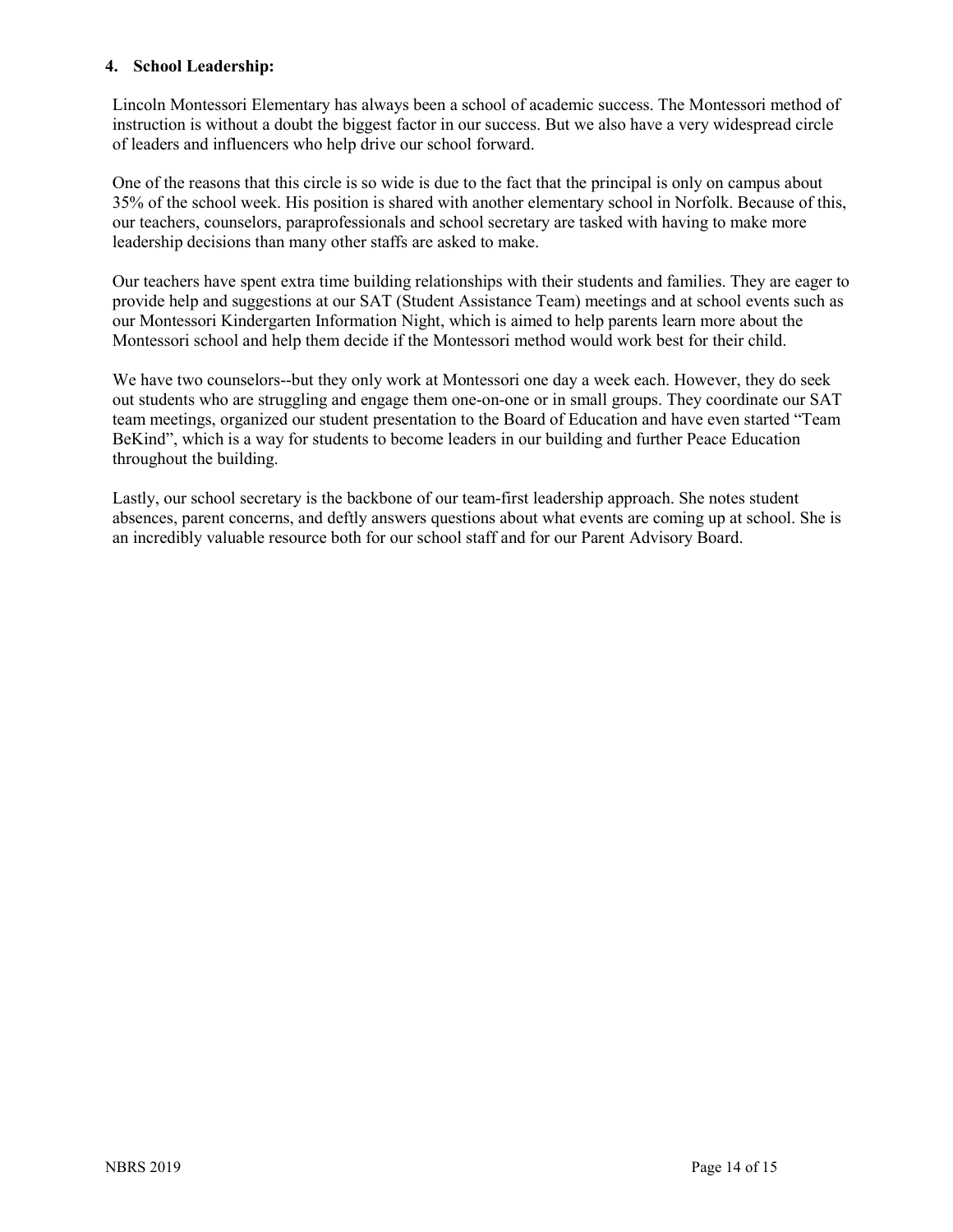#### **4. School Leadership:**

Lincoln Montessori Elementary has always been a school of academic success. The Montessori method of instruction is without a doubt the biggest factor in our success. But we also have a very widespread circle of leaders and influencers who help drive our school forward.

One of the reasons that this circle is so wide is due to the fact that the principal is only on campus about 35% of the school week. His position is shared with another elementary school in Norfolk. Because of this, our teachers, counselors, paraprofessionals and school secretary are tasked with having to make more leadership decisions than many other staffs are asked to make.

Our teachers have spent extra time building relationships with their students and families. They are eager to provide help and suggestions at our SAT (Student Assistance Team) meetings and at school events such as our Montessori Kindergarten Information Night, which is aimed to help parents learn more about the Montessori school and help them decide if the Montessori method would work best for their child.

We have two counselors--but they only work at Montessori one day a week each. However, they do seek out students who are struggling and engage them one-on-one or in small groups. They coordinate our SAT team meetings, organized our student presentation to the Board of Education and have even started "Team BeKind", which is a way for students to become leaders in our building and further Peace Education throughout the building.

Lastly, our school secretary is the backbone of our team-first leadership approach. She notes student absences, parent concerns, and deftly answers questions about what events are coming up at school. She is an incredibly valuable resource both for our school staff and for our Parent Advisory Board.